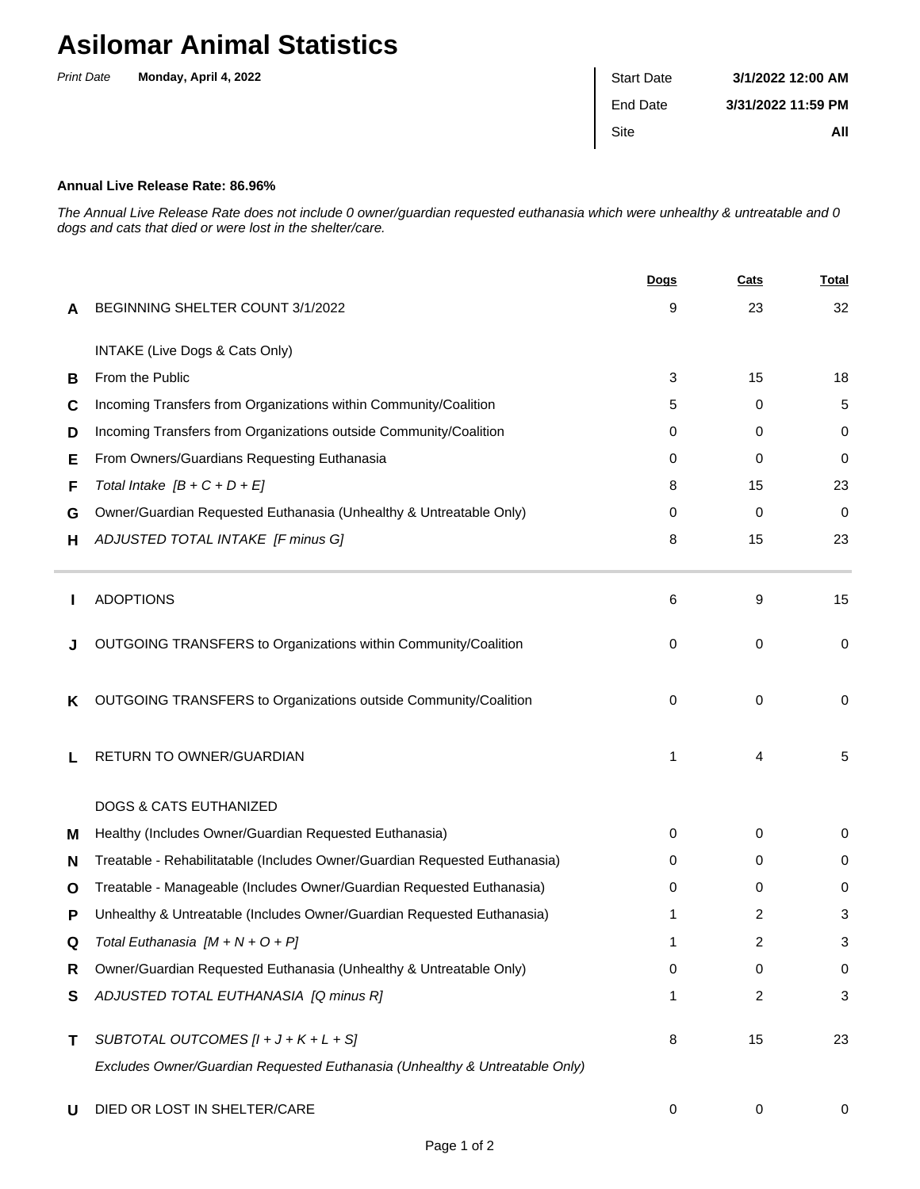## **Asilomar Animal Statistics**

| <b>Print Date</b> | Monday, April 4, 2022 | <b>Start Date</b> | 3/1/2022 12:00 AM  |
|-------------------|-----------------------|-------------------|--------------------|
|                   |                       | End Date          | 3/31/2022 11:59 PM |
|                   |                       | Site              | All                |
|                   |                       |                   |                    |

## **Annual Live Release Rate: 86.96%**

The Annual Live Release Rate does not include 0 owner/guardian requested euthanasia which were unhealthy & untreatable and 0 dogs and cats that died or were lost in the shelter/care.

|   |                                                                             | <b>Dogs</b> | Cats | <u>Total</u> |
|---|-----------------------------------------------------------------------------|-------------|------|--------------|
| A | BEGINNING SHELTER COUNT 3/1/2022                                            | 9           | 23   | 32           |
|   | INTAKE (Live Dogs & Cats Only)                                              |             |      |              |
| B | From the Public                                                             | 3           | 15   | 18           |
| C | Incoming Transfers from Organizations within Community/Coalition            | 5           | 0    | 5            |
| D | Incoming Transfers from Organizations outside Community/Coalition           | 0           | 0    | 0            |
| Е | From Owners/Guardians Requesting Euthanasia                                 | 0           | 0    | 0            |
| F | Total Intake $[B + C + D + E]$                                              | 8           | 15   | 23           |
| G | Owner/Guardian Requested Euthanasia (Unhealthy & Untreatable Only)          | 0           | 0    | $\mathbf 0$  |
| н | ADJUSTED TOTAL INTAKE [F minus G]                                           | 8           | 15   | 23           |
|   | <b>ADOPTIONS</b>                                                            | 6           | 9    | 15           |
|   | OUTGOING TRANSFERS to Organizations within Community/Coalition              | 0           | 0    | 0            |
| ĸ | OUTGOING TRANSFERS to Organizations outside Community/Coalition             | 0           | 0    | 0            |
|   | RETURN TO OWNER/GUARDIAN                                                    | 1           | 4    | 5            |
|   | <b>DOGS &amp; CATS EUTHANIZED</b>                                           |             |      |              |
| м | Healthy (Includes Owner/Guardian Requested Euthanasia)                      | 0           | 0    | 0            |
| N | Treatable - Rehabilitatable (Includes Owner/Guardian Requested Euthanasia)  | 0           | 0    | 0            |
| O | Treatable - Manageable (Includes Owner/Guardian Requested Euthanasia)       | 0           | 0    | 0            |
| Р | Unhealthy & Untreatable (Includes Owner/Guardian Requested Euthanasia)      |             | 2    | 3            |
| Q | Total Euthanasia $[M + N + O + P]$                                          |             | 2    | 3            |
| R | Owner/Guardian Requested Euthanasia (Unhealthy & Untreatable Only)          | 0           | 0    | 0            |
| S | ADJUSTED TOTAL EUTHANASIA [Q minus R]                                       | 1           | 2    | 3            |
| т | SUBTOTAL OUTCOMES $[l + J + K + L + S]$                                     | 8           | 15   | 23           |
|   | Excludes Owner/Guardian Requested Euthanasia (Unhealthy & Untreatable Only) |             |      |              |
| U | DIED OR LOST IN SHELTER/CARE                                                | 0           | 0    | 0            |